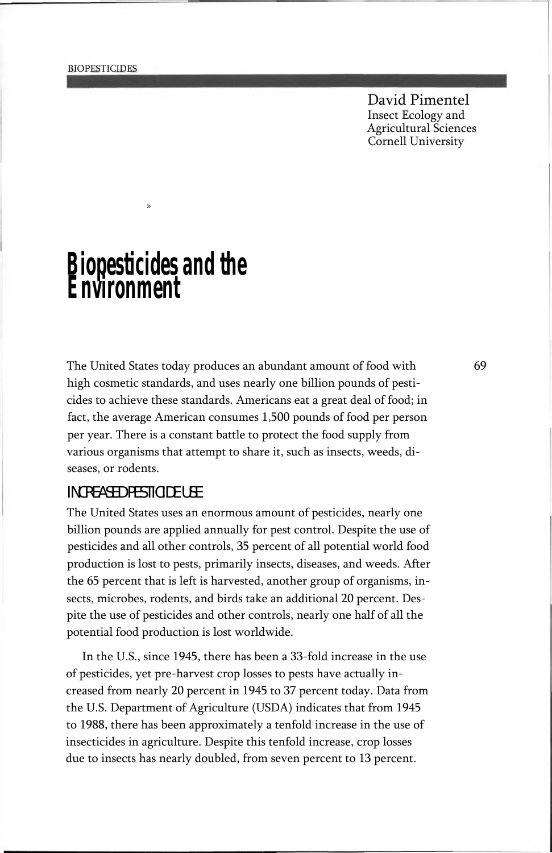David Pimentel Insect Ecology and Agricultural Sciences Cornell University

*Biopesticides and the Environment*

»

The United States today produces an abundant amount of food with 69 high cosmetic standards, and uses nearly one billion pounds of pesticides to achieve these standards. Americans eat a great deal of food; in fact, the average American consumes 1,500 pounds of food per person per year. There is a constant battle to protect the food supply from various organisms that attempt to share it, such as insects, weeds, diseases, or rodents.

#### INCREASED PESTICIDE USE

The United States uses an enormous amount of pesticides, nearly one billion pounds are applied annually for pest control. Despite the use of pesticides and all other controls, 35 percent of all potential world food production is lost to pests, primarily insects, diseases, and weeds. After the 65 percent that is left is harvested, another group of organisms, insects, microbes, rodents, and birds take an additional 20 percent. Despite the use of pesticides and other controls, nearly one half of all the potential food production is lost worldwide.

In the U.S., since 1945, there has been a 33-fold increase in the use of pesticides, yet pre-harvest crop losses to pests have actually increased from nearly 20 percent in 1945 to 37 percent today. Data from the U.S. Department of Agriculture (USDA) indicates that from 1945 to 1988, there has been approximately a tenfold increase in the use of insecticides in agriculture. Despite this tenfold increase, crop losses due to insects has nearly doubled, from seven percent to 13 percent.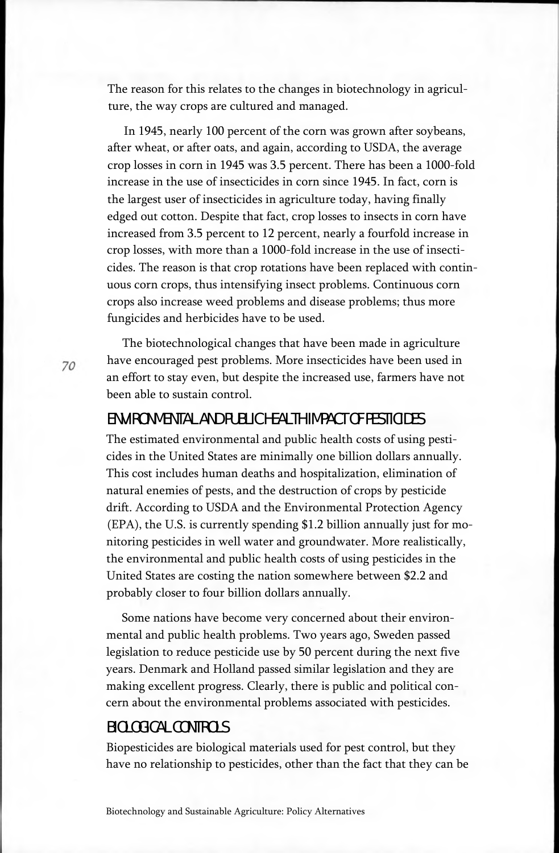The reason for this relates to the changes in biotechnology in agriculture, the way crops are cultured and managed.

In 1945, nearly 100 percent of the corn was grown after soybeans, after wheat, or after oats, and again, according to USDA, the average crop losses in corn in 1945 was 3.5 percent. There has been a 1000-fold increase in the use of insecticides in corn since 1945. In fact, corn is the largest user of insecticides in agriculture today, having finally edged out cotton. Despite that fact, crop losses to insects in corn have increased from 3.5 percent to 12 percent, nearly a fourfold increase in crop losses, with more than a 1000-fold increase in the use of insecticides. The reason is that crop rotations have been replaced with continuous corn crops, thus intensifying insect problems. Continuous corn crops also increase weed problems and disease problems; thus more fungicides and herbicides have to be used.

The biotechnological changes that have been made in agriculture have encouraged pest problems. More insecticides have been used in an effort to stay even, but despite the increased use, farmers have not been able to sustain control.

## ENVIRONMENTAL AND PUBLIC HEALTH IMPACT OF PESTICIDES

The estimated environmental and public health costs of using pesticides in the United States are minimally one billion dollars annually. This cost includes human deaths and hospitalization, elimination of natural enemies of pests, and the destruction of crops by pesticide drift. According to USDA and the Environmental Protection Agency (EPA), the U.S. is currently spending \$1.2 billion annually just for monitoring pesticides in well water and groundwater. More realistically, the environmental and public health costs of using pesticides in the United States are costing the nation somewhere between \$2.2 and probably closer to four billion dollars annually.

Some nations have become very concerned about their environmental and public health problems. Two years ago, Sweden passed legislation to reduce pesticide use by 50 percent during the next five years. Denmark and Holland passed similar legislation and they are making excellent progress. Clearly, there is public and political concern about the environmental problems associated with pesticides.

# BIOLOGICAL CONTROLS

Biopesticides are biological materials used for pest control, but they have no relationship to pesticides, other than the fact that they can be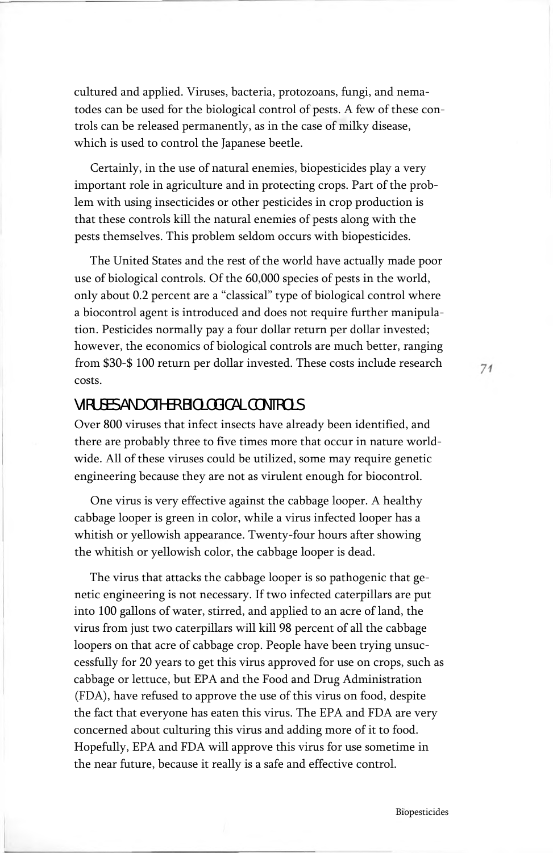cultured and applied. Viruses, bacteria, protozoans, fungi, and nematodes can be used for the biological control of pests. A few of these controls can be released permanently, as in the case of milky disease, which is used to control the Japanese beetle.

Certainly, in the use of natural enemies, biopesticides play a very important role in agriculture and in protecting crops. Part of the problem with using insecticides or other pesticides in crop production is that these controls kill the natural enemies of pests along with the pests themselves. This problem seldom occurs with biopesticides.

The United States and the rest of the world have actually made poor use of biological controls. Of the 60,000 species of pests in the world, only about 0.2 percent are a "classical" type of biological control where a biocontrol agent is introduced and does not require further manipulation. Pesticides normally pay a four dollar return per dollar invested; however, the economics of biological controls are much better, ranging from \$30-\$ 100 return per dollar invested. These costs include research costs.

## VIRUSES AND OTHER BIOLOGICAL CONTROLS

Over 800 viruses that infect insects have already been identified, and there are probably three to five times more that occur in nature worldwide. All of these viruses could be utilized, some may require genetic engineering because they are not as virulent enough for biocontrol.

One virus is very effective against the cabbage looper. A healthy cabbage looper is green in color, while a virus infected looper has a whitish or yellowish appearance. Twenty-four hours after showing the whitish or yellowish color, the cabbage looper is dead.

The virus that attacks the cabbage looper is so pathogenic that genetic engineering is not necessary. If two infected caterpillars are put into 100 gallons of water, stirred, and applied to an acre of land, the virus from just two caterpillars will kill 98 percent of all the cabbage loopers on that acre of cabbage crop. People have been trying unsuccessfully for 20 years to get this virus approved for use on crops, such as cabbage or lettuce, but EPA and the Food and Drug Administration (FDA), have refused to approve the use of this virus on food, despite the fact that everyone has eaten this virus. The EPA and FDA are very concerned about culturing this virus and adding more of it to food. Hopefully, EPA and FDA will approve this virus for use sometime in the near future, because it really is a safe and effective control.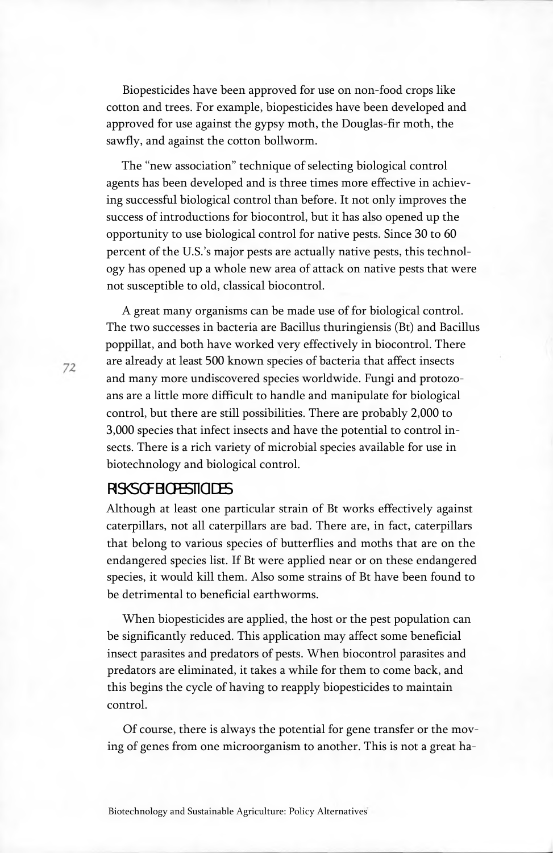Biopesticides have been approved for use on non-food crops like cotton and trees. For example, biopesticides have been developed and approved for use against the gypsy moth, the Douglas-fir moth, the sawfly, and against the cotton bollworm.

The "new association" technique of selecting biological control agents has been developed and is three times more effective in achieving successful biological control than before. It not only improves the success of introductions for biocontrol, but it has also opened up the opportunity to use biological control for native pests. Since 30 to 60 percent of the U.S.'s major pests are actually native pests, this technology has opened up a whole new area of attack on native pests that were not susceptible to old, classical biocontrol.

A great many organisms can be made use of for biological control. The two successes in bacteria are Bacillus thuringiensis (Bt) and Bacillus poppillat, and both have worked very effectively in biocontrol. There are already at least 500 known species of bacteria that affect insects and many more undiscovered species worldwide. Fungi and protozoans are a little more difficult to handle and manipulate for biological control, but there are still possibilities. There are probably 2,000 to 3,000 species that infect insects and have the potential to control insects. There is a rich variety of microbial species available for use in biotechnology and biological control.

#### RISKS OF BIOPESTICIDES

Although at least one particular strain of Bt works effectively against caterpillars, not all caterpillars are bad. There are, in fact, caterpillars that belong to various species of butterflies and moths that are on the endangered species list. If Bt were applied near or on these endangered species, it would kill them. Also some strains of Bt have been found to be detrimental to beneficial earthworms.

When biopesticides are applied, the host or the pest population can be significantly reduced. This application may affect some beneficial insect parasites and predators of pests. When biocontrol parasites and predators are eliminated, it takes a while for them to come back, and this begins the cycle of having to reapply biopesticides to maintain control.

Of course, there is always the potential for gene transfer or the moving of genes from one microorganism to another. This is not a great ha-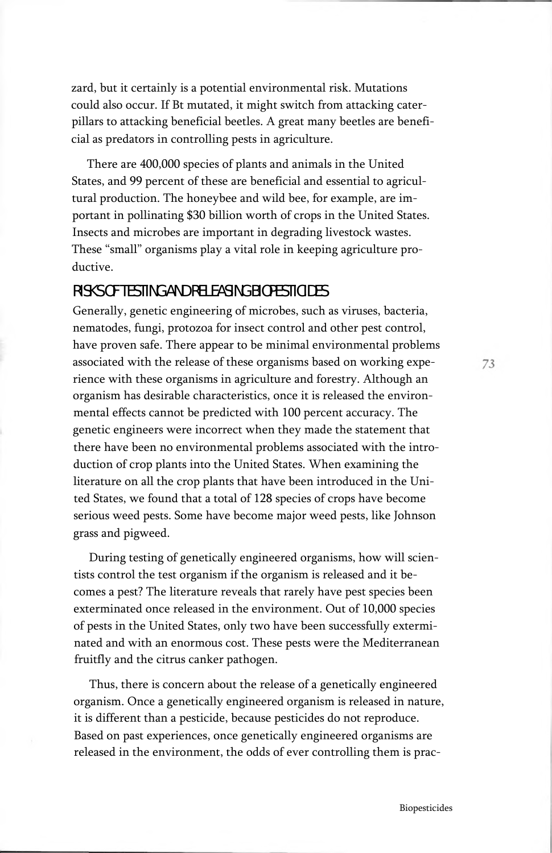zard, but it certainly is a potential environmental risk. Mutations could also occur. If Bt mutated, it might switch from attacking caterpillars to attacking beneficial beetles. A great many beetles are beneficial as predators in controlling pests in agriculture.

There are 400,000 species of plants and animals in the United States, and 99 percent of these are beneficial and essential to agricultural production. The honeybee and wild bee, for example, are important in pollinating \$30 billion worth of crops in the United States. Insects and microbes are important in degrading livestock wastes. These "small" organisms play a vital role in keeping agriculture productive.

# RISKS OF TESTING AND RELEASING BIOPESTICIDES

Generally, genetic engineering of microbes, such as viruses, bacteria, nematodes, fungi, protozoa for insect control and other pest control, have proven safe. There appear to be minimal environmental problems associated with the release of these organisms based on working experience with these organisms in agriculture and forestry. Although an organism has desirable characteristics, once it is released the environmental effects cannot be predicted with 100 percent accuracy. The genetic engineers were incorrect when they made the statement that there have been no environmental problems associated with the introduction of crop plants into the United States. When examining the literature on all the crop plants that have been introduced in the United States, we found that a total of 128 species of crops have become serious weed pests. Some have become major weed pests, like Johnson grass and pigweed.

During testing of genetically engineered organisms, how will scientists control the test organism if the organism is released and it becomes a pest? The literature reveals that rarely have pest species been exterminated once released in the environment. Out of 10,000 species of pests in the United States, only two have been successfully exterminated and with an enormous cost. These pests were the Mediterranean fruitfly and the citrus canker pathogen.

Thus, there is concern about the release of a genetically engineered organism. Once a genetically engineered organism is released in nature, it is different than a pesticide, because pesticides do not reproduce. Based on past experiences, once genetically engineered organisms are released in the environment, the odds of ever controlling them is prac-